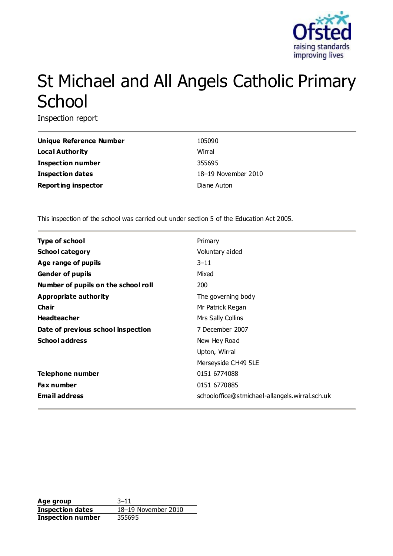

# St Michael and All Angels Catholic Primary **School**

Inspection report

| <b>Unique Reference Number</b> | 105090              |
|--------------------------------|---------------------|
| <b>Local Authority</b>         | Wirral              |
| Inspection number              | 355695              |
| <b>Inspection dates</b>        | 18-19 November 2010 |
| <b>Reporting inspector</b>     | Diane Auton         |

This inspection of the school was carried out under section 5 of the Education Act 2005.

| <b>Type of school</b>               | Primary                                        |
|-------------------------------------|------------------------------------------------|
| <b>School category</b>              | Voluntary aided                                |
| Age range of pupils                 | $3 - 11$                                       |
| <b>Gender of pupils</b>             | Mixed                                          |
| Number of pupils on the school roll | 200                                            |
| Appropriate authority               | The governing body                             |
| Cha ir                              | Mr Patrick Regan                               |
| <b>Headteacher</b>                  | Mrs Sally Collins                              |
| Date of previous school inspection  | 7 December 2007                                |
| <b>School address</b>               | New Hey Road                                   |
|                                     | Upton, Wirral                                  |
|                                     | Merseyside CH49 5LE                            |
| Telephone number                    | 0151 6774088                                   |
| <b>Fax number</b>                   | 0151 6770885                                   |
| <b>Email address</b>                | schooloffice@stmichael-allangels.wirral.sch.uk |

**Age group** 3–11 **Inspection dates** 18–19 November 2010 **Inspection number** 355695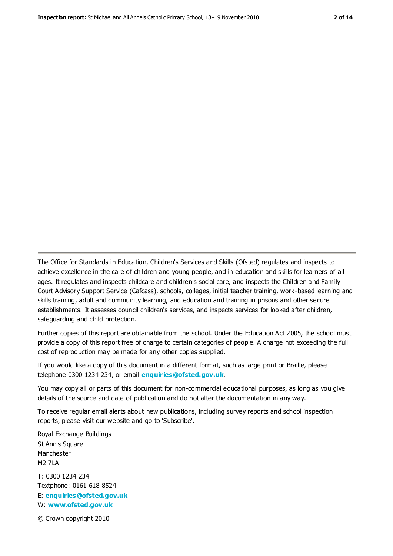The Office for Standards in Education, Children's Services and Skills (Ofsted) regulates and inspects to achieve excellence in the care of children and young people, and in education and skills for learners of all ages. It regulates and inspects childcare and children's social care, and inspects the Children and Family Court Advisory Support Service (Cafcass), schools, colleges, initial teacher training, work-based learning and skills training, adult and community learning, and education and training in prisons and other secure establishments. It assesses council children's services, and inspects services for looked after children, safeguarding and child protection.

Further copies of this report are obtainable from the school. Under the Education Act 2005, the school must provide a copy of this report free of charge to certain categories of people. A charge not exceeding the full cost of reproduction may be made for any other copies supplied.

If you would like a copy of this document in a different format, such as large print or Braille, please telephone 0300 1234 234, or email **[enquiries@ofsted.gov.uk](mailto:enquiries@ofsted.gov.uk)**.

You may copy all or parts of this document for non-commercial educational purposes, as long as you give details of the source and date of publication and do not alter the documentation in any way.

To receive regular email alerts about new publications, including survey reports and school inspection reports, please visit our website and go to 'Subscribe'.

Royal Exchange Buildings St Ann's Square Manchester M2 7LA T: 0300 1234 234 Textphone: 0161 618 8524 E: **[enquiries@ofsted.gov.uk](mailto:enquiries@ofsted.gov.uk)**

W: **[www.ofsted.gov.uk](http://www.ofsted.gov.uk/)**

© Crown copyright 2010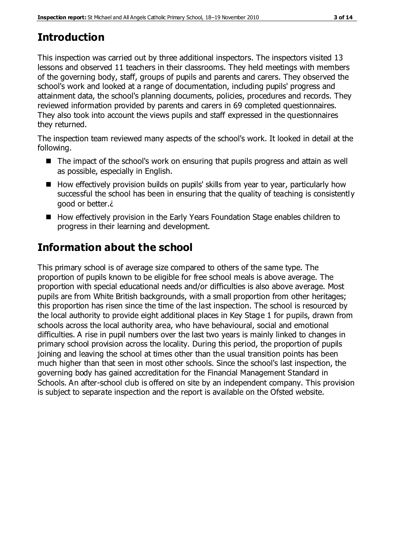# **Introduction**

This inspection was carried out by three additional inspectors. The inspectors visited 13 lessons and observed 11 teachers in their classrooms. They held meetings with members of the governing body, staff, groups of pupils and parents and carers. They observed the school's work and looked at a range of documentation, including pupils' progress and attainment data, the school's planning documents, policies, procedures and records. They reviewed information provided by parents and carers in 69 completed questionnaires. They also took into account the views pupils and staff expressed in the questionnaires they returned.

The inspection team reviewed many aspects of the school's work. It looked in detail at the following.

- The impact of the school's work on ensuring that pupils progress and attain as well as possible, especially in English.
- How effectively provision builds on pupils' skills from year to year, particularly how successful the school has been in ensuring that the quality of teaching is consistently good or better.¿
- How effectively provision in the Early Years Foundation Stage enables children to progress in their learning and development.

# **Information about the school**

This primary school is of average size compared to others of the same type. The proportion of pupils known to be eligible for free school meals is above average. The proportion with special educational needs and/or difficulties is also above average. Most pupils are from White British backgrounds, with a small proportion from other heritages; this proportion has risen since the time of the last inspection. The school is resourced by the local authority to provide eight additional places in Key Stage 1 for pupils, drawn from schools across the local authority area, who have behavioural, social and emotional difficulties. A rise in pupil numbers over the last two years is mainly linked to changes in primary school provision across the locality. During this period, the proportion of pupils joining and leaving the school at times other than the usual transition points has been much higher than that seen in most other schools. Since the school's last inspection, the governing body has gained accreditation for the Financial Management Standard in Schools. An after-school club is offered on site by an independent company. This provision is subject to separate inspection and the report is available on the Ofsted website.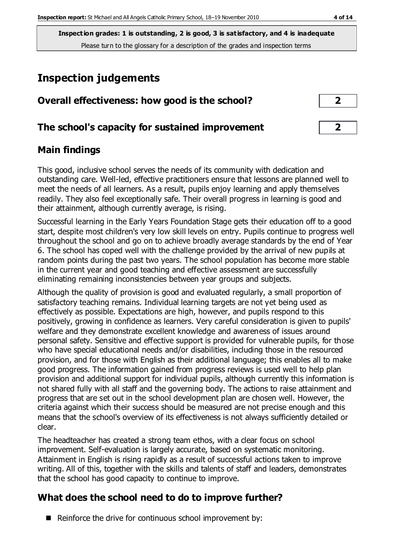**Inspection grades: 1 is outstanding, 2 is good, 3 is satisfactory, and 4 is inadequate** Please turn to the glossary for a description of the grades and inspection terms

# **Inspection judgements**

| Overall effectiveness: how good is the school?  |  |
|-------------------------------------------------|--|
| The school's capacity for sustained improvement |  |

## **Main findings**

This good, inclusive school serves the needs of its community with dedication and outstanding care. Well-led, effective practitioners ensure that lessons are planned well to meet the needs of all learners. As a result, pupils enjoy learning and apply themselves readily. They also feel exceptionally safe. Their overall progress in learning is good and their attainment, although currently average, is rising.

Successful learning in the Early Years Foundation Stage gets their education off to a good start, despite most children's very low skill levels on entry. Pupils continue to progress well throughout the school and go on to achieve broadly average standards by the end of Year 6. The school has coped well with the challenge provided by the arrival of new pupils at random points during the past two years. The school population has become more stable in the current year and good teaching and effective assessment are successfully eliminating remaining inconsistencies between year groups and subjects.

Although the quality of provision is good and evaluated regularly, a small proportion of satisfactory teaching remains. Individual learning targets are not yet being used as effectively as possible. Expectations are high, however, and pupils respond to this positively, growing in confidence as learners. Very careful consideration is given to pupils' welfare and they demonstrate excellent knowledge and awareness of issues around personal safety. Sensitive and effective support is provided for vulnerable pupils, for those who have special educational needs and/or disabilities, including those in the resourced provision, and for those with English as their additional language; this enables all to make good progress. The information gained from progress reviews is used well to help plan provision and additional support for individual pupils, although currently this information is not shared fully with all staff and the governing body. The actions to raise attainment and progress that are set out in the school development plan are chosen well. However, the criteria against which their success should be measured are not precise enough and this means that the school's overview of its effectiveness is not always sufficiently detailed or clear.

The headteacher has created a strong team ethos, with a clear focus on school improvement. Self-evaluation is largely accurate, based on systematic monitoring. Attainment in English is rising rapidly as a result of successful actions taken to improve writing. All of this, together with the skills and talents of staff and leaders, demonstrates that the school has good capacity to continue to improve.

## **What does the school need to do to improve further?**

 $\blacksquare$  Reinforce the drive for continuous school improvement by: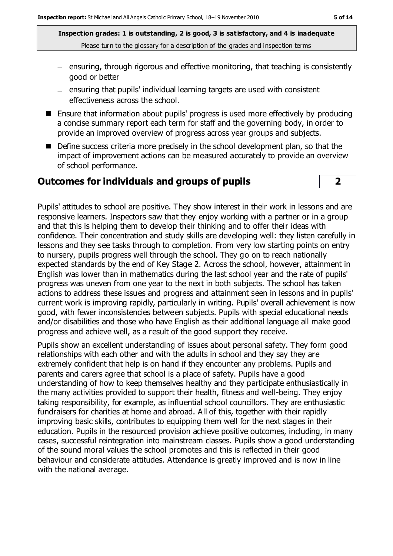**Inspection grades: 1 is outstanding, 2 is good, 3 is satisfactory, and 4 is inadequate** Please turn to the glossary for a description of the grades and inspection terms

- $=$  ensuring, through rigorous and effective monitoring, that teaching is consistently good or better
- $=$  ensuring that pupils' individual learning targets are used with consistent effectiveness across the school.
- Ensure that information about pupils' progress is used more effectively by producing a concise summary report each term for staff and the governing body, in order to provide an improved overview of progress across year groups and subjects.
- Define success criteria more precisely in the school development plan, so that the impact of improvement actions can be measured accurately to provide an overview of school performance.

#### **Outcomes for individuals and groups of pupils 2**



Pupils' attitudes to school are positive. They show interest in their work in lessons and are responsive learners. Inspectors saw that they enjoy working with a partner or in a group and that this is helping them to develop their thinking and to offer their ideas with confidence. Their concentration and study skills are developing well: they listen carefully in lessons and they see tasks through to completion. From very low starting points on entry to nursery, pupils progress well through the school. They go on to reach nationally expected standards by the end of Key Stage 2. Across the school, however, attainment in English was lower than in mathematics during the last school year and the rate of pupils' progress was uneven from one year to the next in both subjects. The school has taken actions to address these issues and progress and attainment seen in lessons and in pupils' current work is improving rapidly, particularly in writing. Pupils' overall achievement is now good, with fewer inconsistencies between subjects. Pupils with special educational needs and/or disabilities and those who have English as their additional language all make good progress and achieve well, as a result of the good support they receive.

Pupils show an excellent understanding of issues about personal safety. They form good relationships with each other and with the adults in school and they say they are extremely confident that help is on hand if they encounter any problems. Pupils and parents and carers agree that school is a place of safety. Pupils have a good understanding of how to keep themselves healthy and they participate enthusiastically in the many activities provided to support their health, fitness and well-being. They enjoy taking responsibility, for example, as influential school councillors. They are enthusiastic fundraisers for charities at home and abroad. All of this, together with their rapidly improving basic skills, contributes to equipping them well for the next stages in their education. Pupils in the resourced provision achieve positive outcomes, including, in many cases, successful reintegration into mainstream classes. Pupils show a good understanding of the sound moral values the school promotes and this is reflected in their good behaviour and considerate attitudes. Attendance is greatly improved and is now in line with the national average.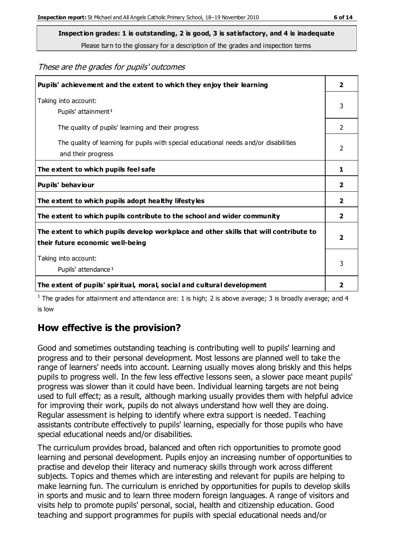**Inspection grades: 1 is outstanding, 2 is good, 3 is satisfactory, and 4 is inadequate**

Please turn to the glossary for a description of the grades and inspection terms

These are the grades for pupils' outcomes

| Pupils' achievement and the extent to which they enjoy their learning                                                     | $\overline{2}$ |
|---------------------------------------------------------------------------------------------------------------------------|----------------|
| Taking into account:<br>Pupils' attainment <sup>1</sup>                                                                   | 3              |
| The quality of pupils' learning and their progress                                                                        | $\mathcal{P}$  |
| The quality of learning for pupils with special educational needs and/or disabilities<br>and their progress               | 2              |
| The extent to which pupils feel safe                                                                                      | 1              |
| Pupils' behaviour                                                                                                         | 2              |
| The extent to which pupils adopt healthy lifestyles                                                                       | 2              |
| The extent to which pupils contribute to the school and wider community                                                   | $\overline{2}$ |
| The extent to which pupils develop workplace and other skills that will contribute to<br>their future economic well-being | $\overline{2}$ |
| Taking into account:<br>Pupils' attendance <sup>1</sup>                                                                   | 3              |
| The extent of pupils' spiritual, moral, social and cultural development                                                   | 2              |

<sup>1</sup> The grades for attainment and attendance are: 1 is high; 2 is above average; 3 is broadly average; and 4 is low

## **How effective is the provision?**

Good and sometimes outstanding teaching is contributing well to pupils' learning and progress and to their personal development. Most lessons are planned well to take the range of learners' needs into account. Learning usually moves along briskly and this helps pupils to progress well. In the few less effective lessons seen, a slower pace meant pupils' progress was slower than it could have been. Individual learning targets are not being used to full effect; as a result, although marking usually provides them with helpful advice for improving their work, pupils do not always understand how well they are doing. Regular assessment is helping to identify where extra support is needed. Teaching assistants contribute effectively to pupils' learning, especially for those pupils who have special educational needs and/or disabilities.

The curriculum provides broad, balanced and often rich opportunities to promote good learning and personal development. Pupils enjoy an increasing number of opportunities to practise and develop their literacy and numeracy skills through work across different subjects. Topics and themes which are interesting and relevant for pupils are helping to make learning fun. The curriculum is enriched by opportunities for pupils to develop skills in sports and music and to learn three modern foreign languages. A range of visitors and visits help to promote pupils' personal, social, health and citizenship education. Good teaching and support programmes for pupils with special educational needs and/or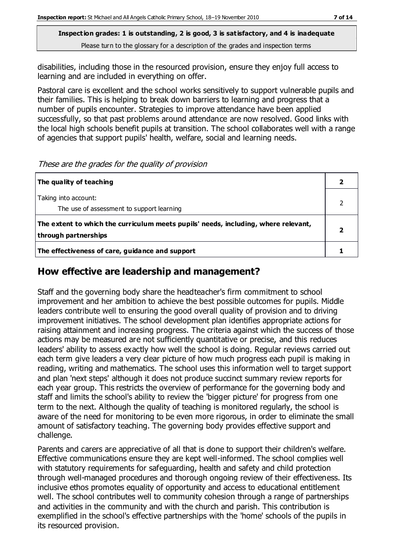**Inspection grades: 1 is outstanding, 2 is good, 3 is satisfactory, and 4 is inadequate** Please turn to the glossary for a description of the grades and inspection terms

disabilities, including those in the resourced provision, ensure they enjoy full access to learning and are included in everything on offer.

Pastoral care is excellent and the school works sensitively to support vulnerable pupils and their families. This is helping to break down barriers to learning and progress that a number of pupils encounter. Strategies to improve attendance have been applied successfully, so that past problems around attendance are now resolved. Good links with the local high schools benefit pupils at transition. The school collaborates well with a range of agencies that support pupils' health, welfare, social and learning needs.

These are the grades for the quality of provision

| The quality of teaching                                                                                    |  |
|------------------------------------------------------------------------------------------------------------|--|
| Taking into account:<br>The use of assessment to support learning                                          |  |
| The extent to which the curriculum meets pupils' needs, including, where relevant,<br>through partnerships |  |
| The effectiveness of care, guidance and support                                                            |  |

#### **How effective are leadership and management?**

Staff and the governing body share the headteacher's firm commitment to school improvement and her ambition to achieve the best possible outcomes for pupils. Middle leaders contribute well to ensuring the good overall quality of provision and to driving improvement initiatives. The school development plan identifies appropriate actions for raising attainment and increasing progress. The criteria against which the success of those actions may be measured are not sufficiently quantitative or precise, and this reduces leaders' ability to assess exactly how well the school is doing. Regular reviews carried out each term give leaders a very clear picture of how much progress each pupil is making in reading, writing and mathematics. The school uses this information well to target support and plan 'next steps' although it does not produce succinct summary review reports for each year group. This restricts the overview of performance for the governing body and staff and limits the school's ability to review the 'bigger picture' for progress from one term to the next. Although the quality of teaching is monitored regularly, the school is aware of the need for monitoring to be even more rigorous, in order to eliminate the small amount of satisfactory teaching. The governing body provides effective support and challenge.

Parents and carers are appreciative of all that is done to support their children's welfare. Effective communications ensure they are kept well-informed. The school complies well with statutory requirements for safeguarding, health and safety and child protection through well-managed procedures and thorough ongoing review of their effectiveness. Its inclusive ethos promotes equality of opportunity and access to educational entitlement well. The school contributes well to community cohesion through a range of partnerships and activities in the community and with the church and parish. This contribution is exemplified in the school's effective partnerships with the 'home' schools of the pupils in its resourced provision.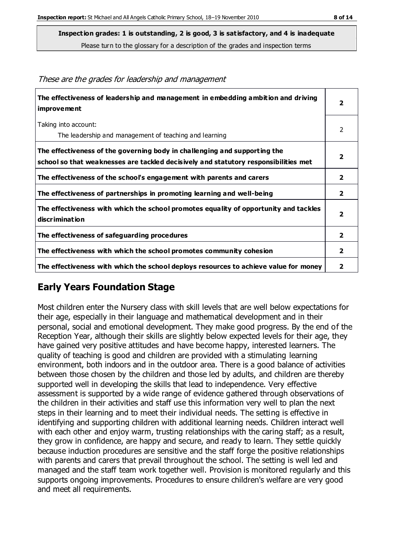Please turn to the glossary for a description of the grades and inspection terms

| The effectiveness of leadership and management in embedding ambition and driving<br>improvement                                                                  | $\overline{\mathbf{2}}$ |
|------------------------------------------------------------------------------------------------------------------------------------------------------------------|-------------------------|
| Taking into account:                                                                                                                                             | 2                       |
| The leadership and management of teaching and learning                                                                                                           |                         |
| The effectiveness of the governing body in challenging and supporting the<br>school so that weaknesses are tackled decisively and statutory responsibilities met | $\overline{2}$          |
| The effectiveness of the school's engagement with parents and carers                                                                                             | $\overline{2}$          |
| The effectiveness of partnerships in promoting learning and well-being                                                                                           | $\overline{\mathbf{2}}$ |
| The effectiveness with which the school promotes equality of opportunity and tackles<br>discrimination                                                           | $\overline{\mathbf{2}}$ |
| The effectiveness of safeguarding procedures                                                                                                                     | $\overline{2}$          |
| The effectiveness with which the school promotes community cohesion                                                                                              | $\overline{\mathbf{2}}$ |
| The effectiveness with which the school deploys resources to achieve value for money                                                                             | 2                       |

#### These are the grades for leadership and management

## **Early Years Foundation Stage**

Most children enter the Nursery class with skill levels that are well below expectations for their age, especially in their language and mathematical development and in their personal, social and emotional development. They make good progress. By the end of the Reception Year, although their skills are slightly below expected levels for their age, they have gained very positive attitudes and have become happy, interested learners. The quality of teaching is good and children are provided with a stimulating learning environment, both indoors and in the outdoor area. There is a good balance of activities between those chosen by the children and those led by adults, and children are thereby supported well in developing the skills that lead to independence. Very effective assessment is supported by a wide range of evidence gathered through observations of the children in their activities and staff use this information very well to plan the next steps in their learning and to meet their individual needs. The setting is effective in identifying and supporting children with additional learning needs. Children interact well with each other and enjoy warm, trusting relationships with the caring staff; as a result, they grow in confidence, are happy and secure, and ready to learn. They settle quickly because induction procedures are sensitive and the staff forge the positive relationships with parents and carers that prevail throughout the school. The setting is well led and managed and the staff team work together well. Provision is monitored regularly and this supports ongoing improvements. Procedures to ensure children's welfare are very good and meet all requirements.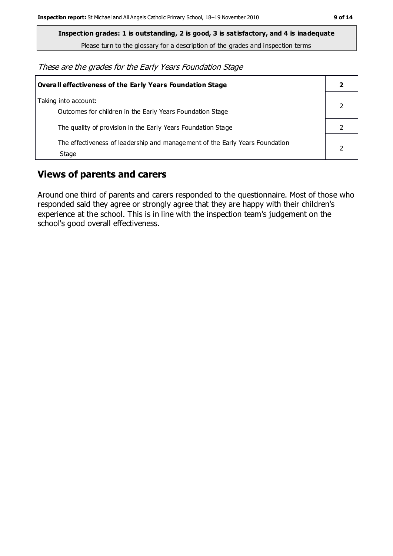**Inspection grades: 1 is outstanding, 2 is good, 3 is satisfactory, and 4 is inadequate**

Please turn to the glossary for a description of the grades and inspection terms

These are the grades for the Early Years Foundation Stage

| <b>Overall effectiveness of the Early Years Foundation Stage</b>                      |  |
|---------------------------------------------------------------------------------------|--|
| Taking into account:<br>Outcomes for children in the Early Years Foundation Stage     |  |
| The quality of provision in the Early Years Foundation Stage                          |  |
| The effectiveness of leadership and management of the Early Years Foundation<br>Stage |  |

## **Views of parents and carers**

Around one third of parents and carers responded to the questionnaire. Most of those who responded said they agree or strongly agree that they are happy with their children's experience at the school. This is in line with the inspection team's judgement on the school's good overall effectiveness.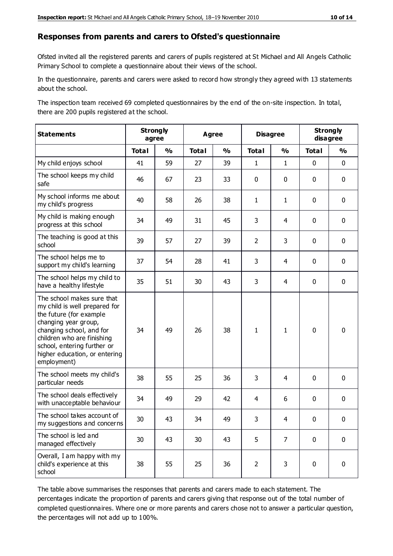#### **Responses from parents and carers to Ofsted's questionnaire**

Ofsted invited all the registered parents and carers of pupils registered at St Michael and All Angels Catholic Primary School to complete a questionnaire about their views of the school.

In the questionnaire, parents and carers were asked to record how strongly they agreed with 13 statements about the school.

The inspection team received 69 completed questionnaires by the end of the on-site inspection. In total, there are 200 pupils registered at the school.

| <b>Statements</b>                                                                                                                                                                                                                                       | <b>Strongly</b><br>agree |               | <b>Agree</b> |               | <b>Disagree</b> |                | <b>Strongly</b><br>disagree |               |
|---------------------------------------------------------------------------------------------------------------------------------------------------------------------------------------------------------------------------------------------------------|--------------------------|---------------|--------------|---------------|-----------------|----------------|-----------------------------|---------------|
|                                                                                                                                                                                                                                                         | <b>Total</b>             | $\frac{1}{2}$ | <b>Total</b> | $\frac{1}{2}$ | <b>Total</b>    | $\frac{1}{2}$  | <b>Total</b>                | $\frac{1}{2}$ |
| My child enjoys school                                                                                                                                                                                                                                  | 41                       | 59            | 27           | 39            | $\mathbf{1}$    | $\mathbf{1}$   | $\mathbf 0$                 | $\mathbf 0$   |
| The school keeps my child<br>safe                                                                                                                                                                                                                       | 46                       | 67            | 23           | 33            | 0               | $\mathbf 0$    | $\mathbf 0$                 | $\mathbf 0$   |
| My school informs me about<br>my child's progress                                                                                                                                                                                                       | 40                       | 58            | 26           | 38            | $\mathbf{1}$    | $\mathbf{1}$   | $\mathbf 0$                 | $\mathbf 0$   |
| My child is making enough<br>progress at this school                                                                                                                                                                                                    | 34                       | 49            | 31           | 45            | 3               | 4              | $\mathbf 0$                 | $\mathbf 0$   |
| The teaching is good at this<br>school                                                                                                                                                                                                                  | 39                       | 57            | 27           | 39            | $\overline{2}$  | 3              | $\mathbf 0$                 | $\mathbf 0$   |
| The school helps me to<br>support my child's learning                                                                                                                                                                                                   | 37                       | 54            | 28           | 41            | 3               | 4              | $\mathbf 0$                 | $\mathbf 0$   |
| The school helps my child to<br>have a healthy lifestyle                                                                                                                                                                                                | 35                       | 51            | 30           | 43            | 3               | 4              | $\mathbf 0$                 | $\mathbf 0$   |
| The school makes sure that<br>my child is well prepared for<br>the future (for example<br>changing year group,<br>changing school, and for<br>children who are finishing<br>school, entering further or<br>higher education, or entering<br>employment) | 34                       | 49            | 26           | 38            | $\mathbf{1}$    | $\mathbf{1}$   | $\mathbf 0$                 | $\mathbf 0$   |
| The school meets my child's<br>particular needs                                                                                                                                                                                                         | 38                       | 55            | 25           | 36            | 3               | 4              | $\mathbf 0$                 | $\mathbf 0$   |
| The school deals effectively<br>with unacceptable behaviour                                                                                                                                                                                             | 34                       | 49            | 29           | 42            | $\overline{4}$  | 6              | $\mathbf 0$                 | $\pmb{0}$     |
| The school takes account of<br>my suggestions and concerns                                                                                                                                                                                              | 30                       | 43            | 34           | 49            | 3               | 4              | $\Omega$                    | 0             |
| The school is led and<br>managed effectively                                                                                                                                                                                                            | 30                       | 43            | 30           | 43            | 5               | $\overline{7}$ | $\mathbf 0$                 | $\mathbf 0$   |
| Overall, I am happy with my<br>child's experience at this<br>school                                                                                                                                                                                     | 38                       | 55            | 25           | 36            | $\overline{2}$  | 3              | $\mathbf 0$                 | $\pmb{0}$     |

The table above summarises the responses that parents and carers made to each statement. The percentages indicate the proportion of parents and carers giving that response out of the total number of completed questionnaires. Where one or more parents and carers chose not to answer a particular question, the percentages will not add up to 100%.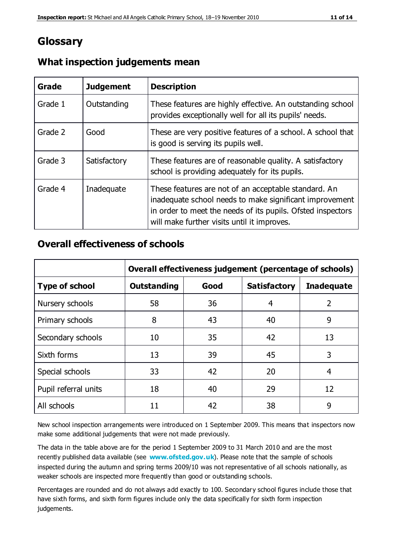# **Glossary**

| Grade   | <b>Judgement</b> | <b>Description</b>                                                                                                                                                                                                            |
|---------|------------------|-------------------------------------------------------------------------------------------------------------------------------------------------------------------------------------------------------------------------------|
| Grade 1 | Outstanding      | These features are highly effective. An outstanding school<br>provides exceptionally well for all its pupils' needs.                                                                                                          |
| Grade 2 | Good             | These are very positive features of a school. A school that<br>is good is serving its pupils well.                                                                                                                            |
| Grade 3 | Satisfactory     | These features are of reasonable quality. A satisfactory<br>school is providing adequately for its pupils.                                                                                                                    |
| Grade 4 | Inadequate       | These features are not of an acceptable standard. An<br>inadequate school needs to make significant improvement<br>in order to meet the needs of its pupils. Ofsted inspectors<br>will make further visits until it improves. |

#### **What inspection judgements mean**

#### **Overall effectiveness of schools**

|                       | Overall effectiveness judgement (percentage of schools) |      |                     |                   |
|-----------------------|---------------------------------------------------------|------|---------------------|-------------------|
| <b>Type of school</b> | <b>Outstanding</b>                                      | Good | <b>Satisfactory</b> | <b>Inadequate</b> |
| Nursery schools       | 58                                                      | 36   | 4                   | 2                 |
| Primary schools       | 8                                                       | 43   | 40                  | 9                 |
| Secondary schools     | 10                                                      | 35   | 42                  | 13                |
| Sixth forms           | 13                                                      | 39   | 45                  | 3                 |
| Special schools       | 33                                                      | 42   | 20                  | 4                 |
| Pupil referral units  | 18                                                      | 40   | 29                  | 12                |
| All schools           | 11                                                      | 42   | 38                  | 9                 |

New school inspection arrangements were introduced on 1 September 2009. This means that inspectors now make some additional judgements that were not made previously.

The data in the table above are for the period 1 September 2009 to 31 March 2010 and are the most recently published data available (see **[www.ofsted.gov.uk](http://www.ofsted.gov.uk/)**). Please note that the sample of schools inspected during the autumn and spring terms 2009/10 was not representative of all schools nationally, as weaker schools are inspected more frequently than good or outstanding schools.

Percentages are rounded and do not always add exactly to 100. Secondary school figures include those that have sixth forms, and sixth form figures include only the data specifically for sixth form inspection judgements.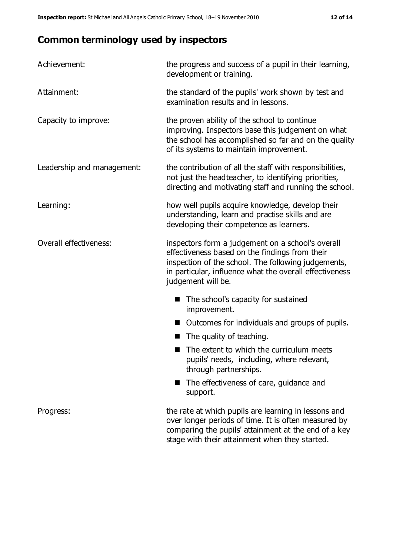# **Common terminology used by inspectors**

| Achievement:               | the progress and success of a pupil in their learning,<br>development or training.                                                                                                                                                          |
|----------------------------|---------------------------------------------------------------------------------------------------------------------------------------------------------------------------------------------------------------------------------------------|
| Attainment:                | the standard of the pupils' work shown by test and<br>examination results and in lessons.                                                                                                                                                   |
| Capacity to improve:       | the proven ability of the school to continue<br>improving. Inspectors base this judgement on what<br>the school has accomplished so far and on the quality<br>of its systems to maintain improvement.                                       |
| Leadership and management: | the contribution of all the staff with responsibilities,<br>not just the headteacher, to identifying priorities,<br>directing and motivating staff and running the school.                                                                  |
| Learning:                  | how well pupils acquire knowledge, develop their<br>understanding, learn and practise skills and are<br>developing their competence as learners.                                                                                            |
| Overall effectiveness:     | inspectors form a judgement on a school's overall<br>effectiveness based on the findings from their<br>inspection of the school. The following judgements,<br>in particular, influence what the overall effectiveness<br>judgement will be. |
|                            | The school's capacity for sustained<br>improvement.                                                                                                                                                                                         |
|                            | Outcomes for individuals and groups of pupils.                                                                                                                                                                                              |
|                            | The quality of teaching.                                                                                                                                                                                                                    |
|                            | The extent to which the curriculum meets<br>pupils' needs, including, where relevant,<br>through partnerships.                                                                                                                              |
|                            | The effectiveness of care, guidance and<br>support.                                                                                                                                                                                         |
| Progress:                  | the rate at which pupils are learning in lessons and<br>over longer periods of time. It is often measured by<br>comparing the pupils' attainment at the end of a key                                                                        |

stage with their attainment when they started.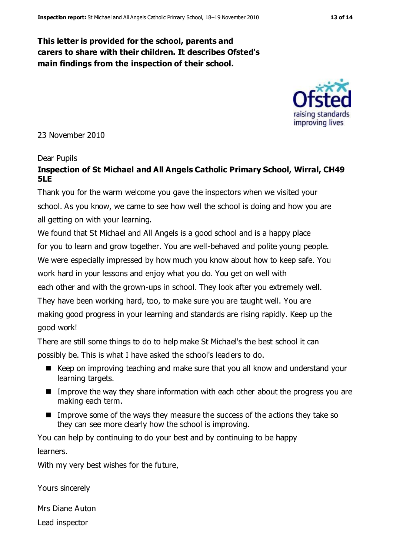#### **This letter is provided for the school, parents and carers to share with their children. It describes Ofsted's main findings from the inspection of their school.**

23 November 2010

#### Dear Pupils

#### **Inspection of St Michael and All Angels Catholic Primary School, Wirral, CH49 5LE**

Thank you for the warm welcome you gave the inspectors when we visited your school. As you know, we came to see how well the school is doing and how you are all getting on with your learning.

We found that St Michael and All Angels is a good school and is a happy place for you to learn and grow together. You are well-behaved and polite young people. We were especially impressed by how much you know about how to keep safe. You work hard in your lessons and enjoy what you do. You get on well with each other and with the grown-ups in school. They look after you extremely well. They have been working hard, too, to make sure you are taught well. You are

making good progress in your learning and standards are rising rapidly. Keep up the good work!

There are still some things to do to help make St Michael's the best school it can possibly be. This is what I have asked the school's leaders to do.

- Keep on improving teaching and make sure that you all know and understand your learning targets.
- **IMPROVE THE WAY THEY SHALL INCOVERGOVER INCOVER** Improve the way they share information with each other about the progress you are making each term.
- Improve some of the ways they measure the success of the actions they take so they can see more clearly how the school is improving.

You can help by continuing to do your best and by continuing to be happy learners.

With my very best wishes for the future,

Yours sincerely

Mrs Diane Auton Lead inspector